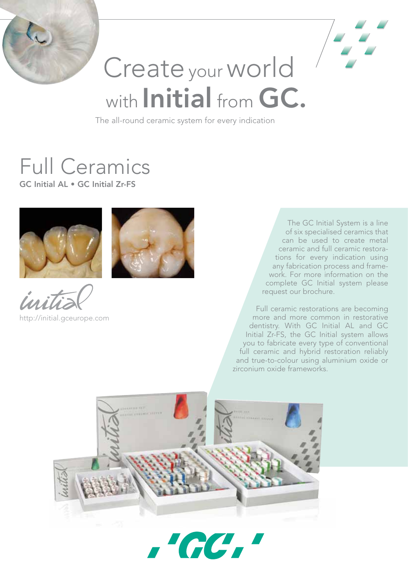



# Create your world with Initial from GC.

The all-round ceramic system for every indication

## Full Ceramics

GC Initial AL • GC Initial Zr-FS





http://initial.gceurope.com

The GC Initial System is a line of six specialised ceramics that can be used to create metal ceramic and full ceramic restorations for every indication using any fabrication process and framework. For more information on the complete GC Initial system please request our brochure.

Full ceramic restorations are becoming more and more common in restorative dentistry. With GC Initial AL and GC Initial Zr-FS, the GC Initial system allows you to fabricate every type of conventional full ceramic and hybrid restoration reliably and true-to-colour using aluminium oxide or zirconium oxide frameworks.



 $\overline{\phantom{a}}$